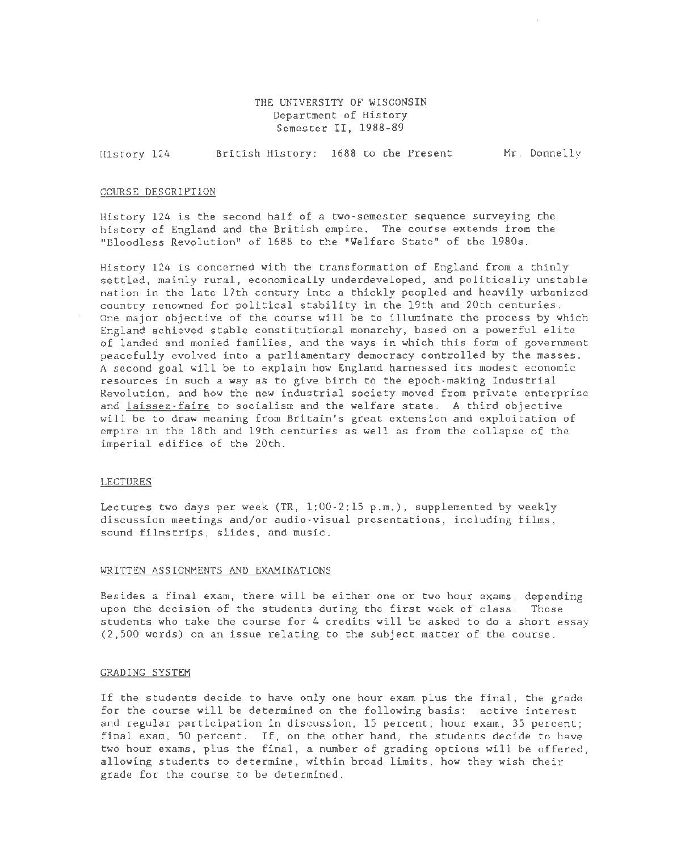## THE UNIVERSITY OF WISCONSIN Department of History Semester II, 1988-89

History 124 British History: 1688 to the Present Mr. Donnelly

### COURSE DESCRIPTION

History 124 is the second half of a two-semester sequence surveying the history of England and the British empire. The course extends from the "Bloodless Revolution" of 1688 to the "Welfare State" of the 1980s.

History 124 is concerned with the transformation of England from a thinly settled, mainly rural, economically underdeveloped, and politically unstable nation in the late 17th century into a thickly peopled and heavily urbanized country renowned for political stability in the 19th and 20th centuries. One major objective of the course will be to illuminate the process by which England achieved stable constitutional monarchy, based on a powerful elite of landed and monied families, and the ways in which this form of government peacefully evolved into a parliamentary democracy controlled by the masses. A second goal will be to explain how England harnessed its modest economic resources in such a way as to give birth to the epoch-making Industrial Revolution, and how the new industrial society moved from private enterprise and laissez-faire to socialism and the welfare state. A third objective will be to draw meaning from Britain's great extension and exploitation of empire in the 18th and 19th centuries as well as from the collapse of the imperial edifice of the 20th.

#### LECTURES

Lectures two days per week (TR, 1:00-2:15 p.m.), supplemented by weekly discussion meetings and/or audio-visual presentations, including films, sound filmstrips, slides, and music.

### WRITTEN ASSIGNMENTS AND EXAMINATIONS

Besides a final exam, there will be either one or two hour exams, depending upon the decision of the students during the first week of class. Those students who take the course for 4 credits will be asked to do a short essay (2,500 words) on an issue relating to the subject matter of the course.

### GRADING SYSTEM

If the students decide to have only one hour exam plus the final, the grade for the course will be determined on the following basis: active interest and regular participation in discussion, 15 percent; hour exam, 35 percent; final exam, 50 percent. If, on the other hand, the students decide to have two hour exams, plus the final, a number of grading options will be offered, allowing students to determine, within broad limits, how they wish their grade for the course to be determined.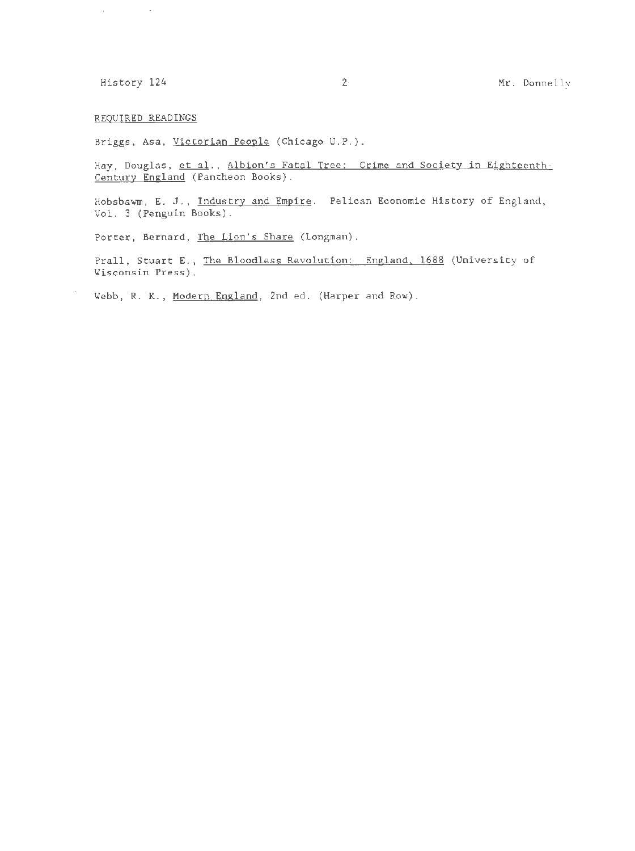## REQUIRED READINGS

 $\sim$ 

Briggs, Asa, Victorian People (Chicago U.P.).

Hay, Douglas, et al., Albion's Fatal Tree: Crime and Society in Eighteenth-Century England (Pantheon Books).

Hobsbawm, E. J., Industry and Empire. Pelican Economic History of England, Vol. 3 (Penguin Books).

Porter, Bernard, The Lion's Share (Longman).

Prall, Stuart E., The Bloodless Revolution: England, 1688 (University of Wisconsin Press).

Webb, R. K., Modern England, 2nd ed. (Harper and Row).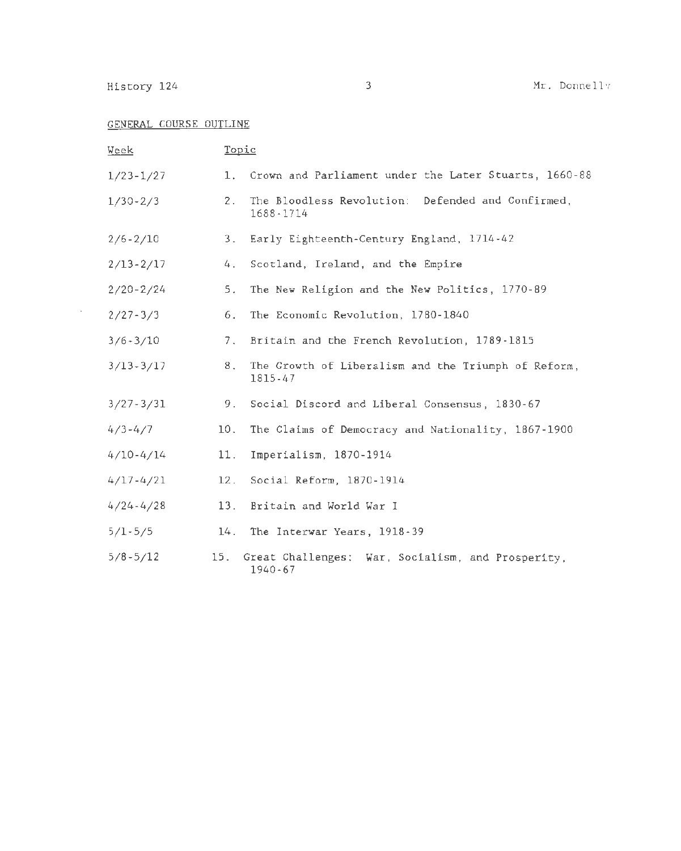## GENERAL COURSE OUTLINE

| Week          | Topic |                                                                |
|---------------|-------|----------------------------------------------------------------|
| $1/23 - 1/27$ | 1.    | Crown and Parliament under the Later Stuarts, 1660-88          |
| $1/30 - 2/3$  | 2.    | The Bloodless Revolution: Defended and Confirmed,<br>1688-1714 |
| $2/6 - 2/10$  | 3.    | Early Eighteenth-Century England, 1714-42                      |
| $2/13 - 2/17$ | 4.    | Scotland, Ireland, and the Empire                              |
| $2/20 - 2/24$ | 5.    | The New Religion and the New Politics, 1770-89                 |
| $2/27 - 3/3$  | 6.    | The Economic Revolution, 1780-1840                             |
| $3/6 - 3/10$  | 7.    | Britain and the French Revolution, 1789-1815                   |
| $3/13 - 3/17$ | 8.    | The Growth of Liberalism and the Triumph of Reform,<br>1815-47 |
| $3/27 - 3/31$ | 9.    | Social Discord and Liberal Consensus, 1830-67                  |
| $4/3 - 4/7$   | 10.   | The Claims of Democracy and Nationality, 1867-1900             |
| $4/10 - 4/14$ | 11.   | Imperialism, 1870-1914                                         |
| $4/17 - 4/21$ | 12.   | Social Reform, 1870-1914                                       |
| $4/24 - 4/28$ | 13.   | Britain and World War I                                        |
| $5/1 - 5/5$   | 14.   | The Interwar Years, 1918-39                                    |
| $5/8 - 5/12$  | 15.   | Great Challenges: War, Socialism, and Prosperity,<br>1940-67   |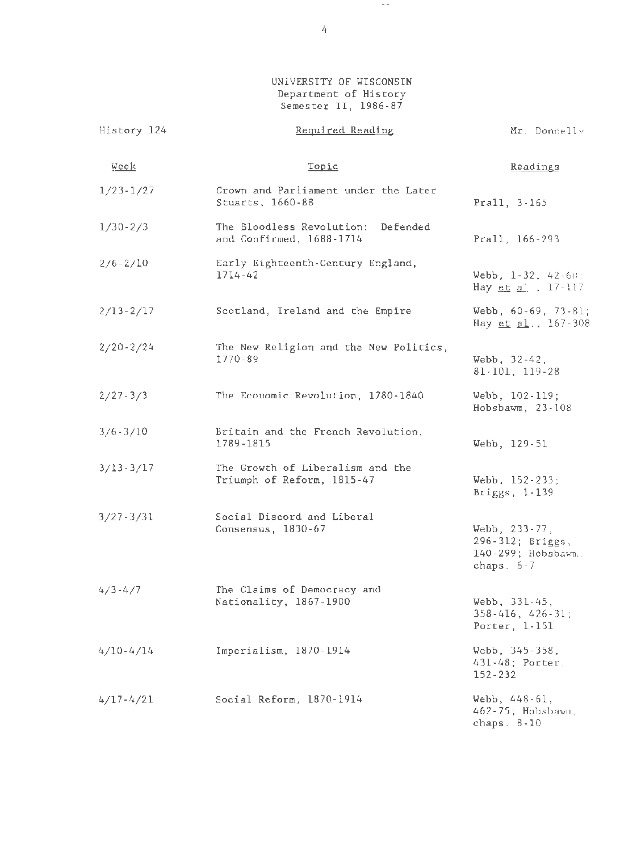UNIVERSITY OF WISCONSIN Department of History Semester II, 1986-87

 $\gamma \rightarrow -$ 

| History 124   | Required Reading                                               | Mr. Donnelly                                                             |
|---------------|----------------------------------------------------------------|--------------------------------------------------------------------------|
| Week          | Topic                                                          | Readings                                                                 |
| $1/23 - 1/27$ | Crown and Parliament under the Later<br>Stuarts, 1660-88       | Prall, 3-165                                                             |
| $1/30 - 2/3$  | The Bloodless Revolution: Defended<br>and Confirmed, 1688-1714 | Prall, 166-293                                                           |
| $2/6 - 2/10$  | Early Eighteenth-Century England,<br>$1714 - 42$               | Webb, $1-32$ , $42-60$ :<br>Hay et a', 17-117                            |
| $2/13 - 2/17$ | Scotland, Ireland and the Empire                               | Webb, $60-69$ , $73-81$ ;<br>Hay et al., 167-308                         |
| $2/20 - 2/24$ | The New Religion and the New Politics,<br>1770-89              | Webb, 32-42,<br>81-101, 119-28                                           |
| $2/27 - 3/3$  | The Economic Revolution, 1780-1840                             | Webb, 102-119;<br>Hobsbawm, 23-108                                       |
| $3/6 - 3/10$  | Britain and the French Revolution,<br>1789-1815                | Webb, 129-51                                                             |
| $3/13 - 3/17$ | The Growth of Liberalism and the<br>Triumph of Reform, 1815-47 | Webb, 152-233;<br>Briggs, 1-139                                          |
| $3/27 - 3/31$ | Social Discord and Liberal<br>Consensus, 1830-67               | Webb, 233-77,<br>296-312; Briggs,<br>140-299; Hobsbawn.,<br>chaps. $6-7$ |
| $4/3 - 4/7$   | The Claims of Democracy and<br>Nationality, 1867-1900          | Webb, 331-45,<br>$358 - 416$ , $426 - 31$ ;<br>Porter, $1-151$           |
| $4/10 - 4/14$ | Imperialism, 1870-1914                                         | Webb, 345-358,<br>431-48; Porter,<br>$152 - 232$                         |
| $4/17 - 4/21$ | Social Reform, 1870-1914                                       | Webb, 448-61,<br>462-75; Hobsbawm,<br>chaps. $8-10$                      |

4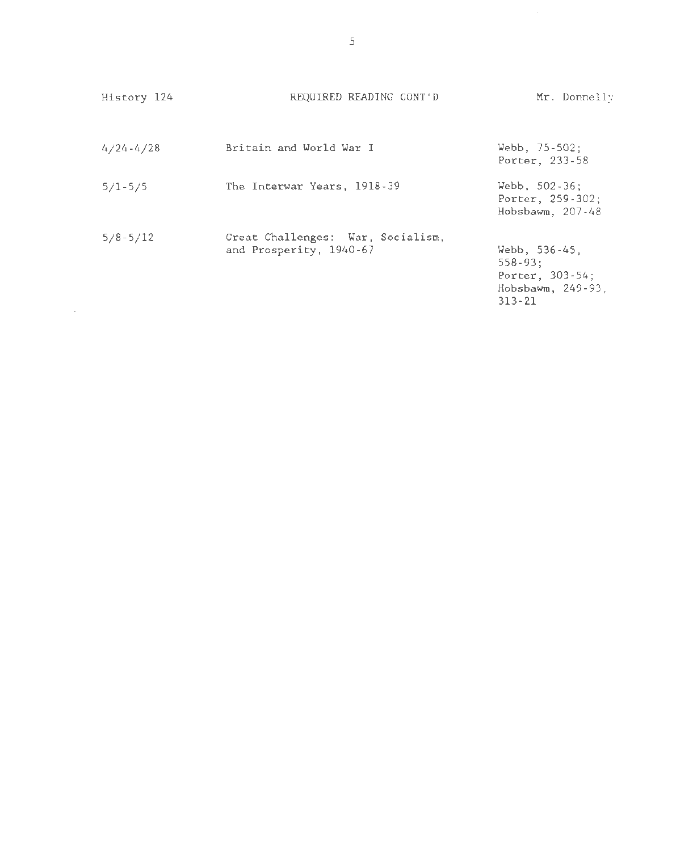| History 124   | REQUIRED READING CONT'D                                      | Mr. Donnelly                                                                            |
|---------------|--------------------------------------------------------------|-----------------------------------------------------------------------------------------|
| $4/24 - 4/28$ | Britain and World War I                                      | Webb, $75 - 502$ ;<br>Porter, 233-58                                                    |
| $5/1 - 5/5$   | The Interwar Years, 1918-39                                  | Webb, $502 - 36$ ;<br>Porter, 259-302;<br>Hobsbawm, $207-48$                            |
| $5/8 - 5/12$  | Great Challenges: War, Socialism,<br>and Prosperity, 1940-67 | Webb, 536-45,<br>$558 - 93:$<br>Porter, $303 - 54$ ;<br>Hobsbawm, 249-93.<br>$313 - 21$ |

 $\mathcal{L}(\mathcal{A})$  and  $\mathcal{L}(\mathcal{A})$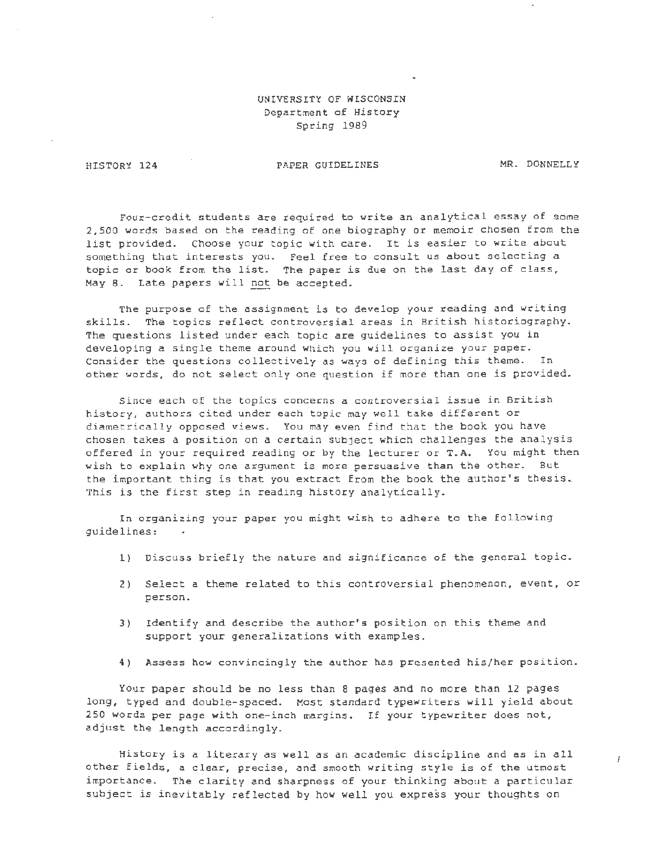## UNIVERSITY OF WISCONSIN Department of History Spring 1989

HISTORY 124

PAPER GUIDELINES MR. DONNELLY

İ

Four-credit students are required to write an analytical essay of some 2,500 words based on the reading of one biography or memoir chosen from the list provided. Choose your topic with care. It is easier to write about something that interests you. Feel free to consult us about selecting a topic or book from the list. The paper is due on the last day of class, May 8. Late papers will not be accepted.

The purpose of the assignment is to develop your reading and writing skills. The topics reflect controversial areas *in* British historiography. The questions listed under each topic are guidelines to assist you in developing a single theme around which you will organize your paper. Consider the questions collectively as ways of defining this theme. In other words, do not select only one question if more than one is provided.

Since each of the topics concerns a controversial issue in British history, authors cited under each topic may well take different or diametrically opposed views. You may even find that the book you have chosen takes a position on a certain subject which challenges the analysis offered in your required reading or by the lecturer or T.A. You might then wish to explain why one argument is more persuasive than the other. But the important thing is that you extract from the book the author's thesis, This is the first step in reading history analytically.

In organizing your paper you might wish to adhere to the following guidelines:

- 1) Discuss briefly the nature and significance of the general topic.
- 2) Select a theme related to this controversial phenomenon, event, or person.
- 3) Identify and describe the author's position on this theme and support your generalizations with examples.
- 4) Assess how convincingly the author has presented his/her position.

Your paper should be no less than 8 pages and no more than 12 pages long, typed and double-spaced. Most standard typewriters will yield about 250 words per page with one-inch margins. If your typewriter does not, adjust the length accordingly.

History *is* a literary as well as an academic discipline and as in all other fields, a clear, precise, and smooth writing style is of the utmost importance. The clarity and sharpness of your thinking about a particular subject is inevitably reflected by how well you express your thoughts on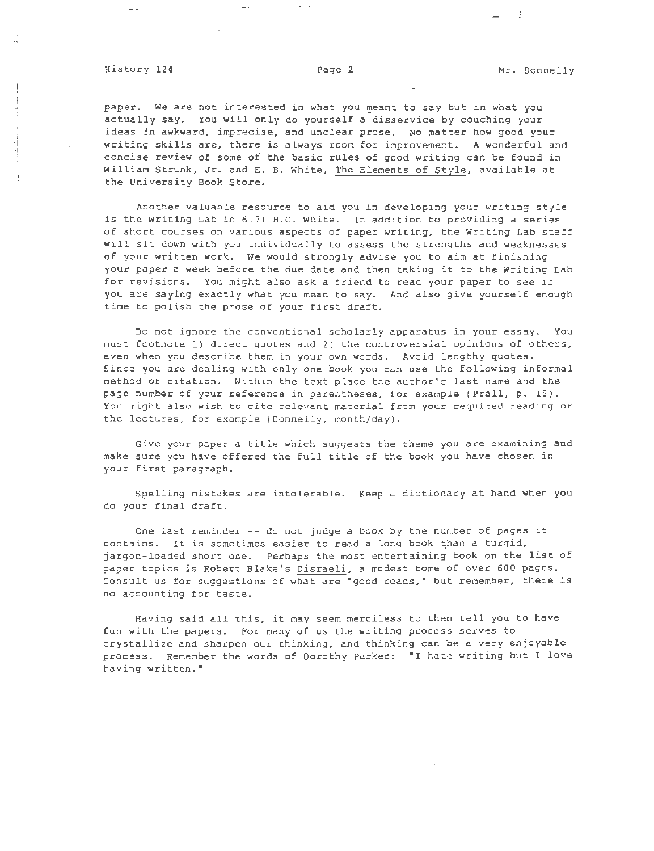## History 124 **Page 2** Page 2 Mr. Donnelly

 $\omega_{\rm{max}} = \omega_{\rm{max}} = 1.1 \pm 0.00$ 

 $\frac{1}{1}$ 

 $\mathbb{I}$ 

 $\frac{1}{4}$  . i

 $\mathcal{L}_{\mathrm{in}}$ 

كالمنافذ والمستردان للقار

 $-1$ 

paper. We are not interested in what you meant to say but in what you actually say. You will only do yourself a disservice by couching your ideas in awkward, imprecise, and unclear prose. No matter how good your writing skills are, there is always room for improvement. A wonderful and concise review of some of the basic rules of good writing can be found in William Strunk, Jr. and E. B. White, The Elements of Style, available at the University Book Store.

Another valuable resource to aid you in developing your writing style is the Writing Lab in 6171 H.C. White. In addition to providing a series of short courses on various aspects of paper writing, the Writing Lab staff will sit down with you individually to assess the strengths and weaknesses of your written work. We would strongly advise you to aim at finishing your paper a week before the due date and then taking it to the Writing Lab for revisions. You might also ask a friend to read your paper to see if you are saying exactly what you mean to say. And also *give* yourself enough time to polish the prose of your first draft.

Do not ignore the conventional scholarly apparatus in your essay. You must footnote 1) direct quotes and 2) the controversial opinions of others, even when you describe them in your own words. Avoid lengthy quotes. Since you are dealing with only one book you can use the following informal method of citation. Within the text place the author's last name and the page number of your reference in parentheses. for example (Prall, p. 15). You might also wish to cite relevant material from your required reading or the lectures, for example (Donnelly, month/day).

Give your paper a title which suggests the theme you are examining and make sure you have offered the full title of the book you have chosen in your first paragraph.

Spelling mistakes are intolerable. Keep a dictionary at hand when you do your final draft.

One last reminder -- do not judge a book by the number of pages it contains. It is sometimes easier to read a long book than a turgid, jargon-loaded short one. Perhaps the most entertaining book on the list of paper topics is Robert Blake's Disraeli, a modest tome of over 600 pages. Consult us for suggestions of what are "good reads," but remember, there is no accounting for taste.

Having said all this, *it* may seem merciless to then tell you to have fun with the papers. For many of us the writing process serves to crystallize and sharpen our thinking, and thinking can be a very enjoyable process. Remember the words of Dorothy Parker: "I hate writing but I love having written."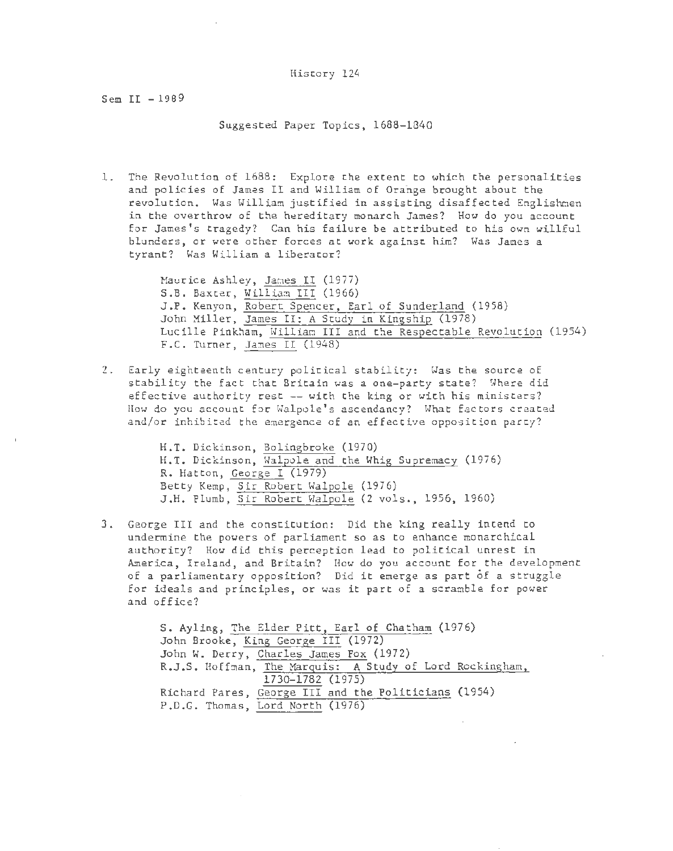Sem II - 1989

Suggested Paper Topics, 1688-1840

1. The Revolution of 1688: Explore the extent to which the personalities and policies of James II and William of Orange brought about the revolution. Was William justified in assisting disaffected Englishmen in the overthrow of the hereditary monarch James? How do you account for James's tragedy? Can his failure be attributed to his own willful blunders, or were other forces at work against him? Was James a tyrant? Was William a liberator?

> Maurice Ashley, James II (1977) S.B. Baxter, William III (1966) J.P. Kenyon, Robert Spencer, Earl of Sunderland (1958) John Miller, James II: A Study in Kingship (1978) Lucille Pinkham, William III and the Respectable Revolution (1954) F.C. Turner, James II (1948)

2. Early eighteenth century political stability: Was the source of stability the fact that Britain was a one-party state? Where did effective authority rest -- with the king or with his ministers? How do you account for Walpole's ascendancy? What factors created and/or inhibited the emergence of an effective opposition party?

> H.T. Dickinson, Bolingbroke (1970) H.T. Dickinson, Walpole and the Whig Supremacy (1976) R. Hatton, George I (1979) Betty Kemp, Sir Robert Walpole (1976) J.H. Plumb, Sir Robert Walpole (2 vols., 1956, 1960)

3. George III and the constitution: Did the king really intend to undermine the powers of parliament so as to enhance monarchical authority? How did this perception lead to political unrest in America, Ireland, and Britain? How do you account for the development of a parliamentary opposition? Did it emerge as part of a struggle for ideals and principles, or was it part of a scramble for power and office?

> S. Ayling, The Elder Pitt, Earl of Chatham (1976) John Brooke, King George III (1972) John W. Derry, Charles James Fox (1972) R.J.S. Hoffman, The Marguis: A Study of Lord Rockingham, 1730-1782 (1975) Richard Pares, George III and the Politicians (1954) P.D.G. Thomas, Lord North (1976)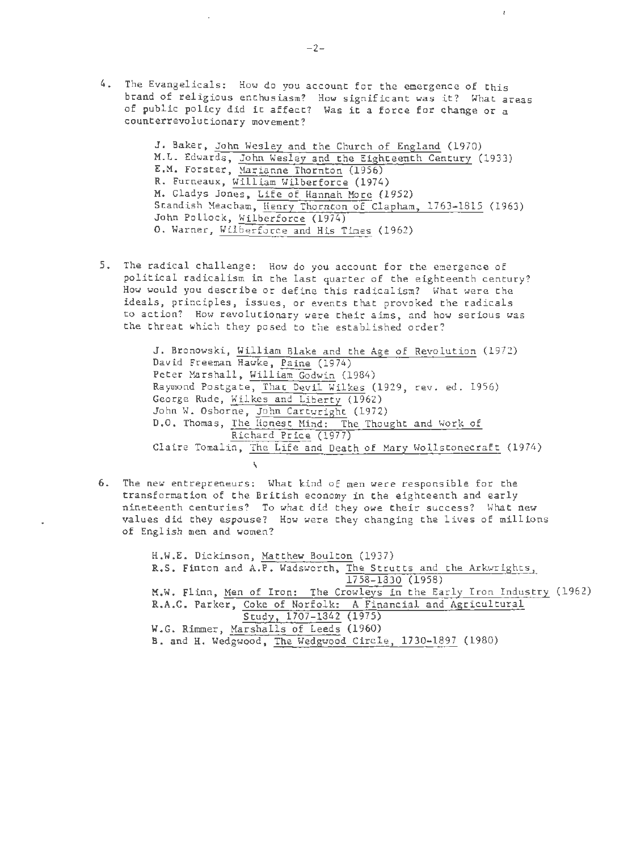4. The Evangelicals: How do you account for the emergence of this brand of religious enthusiasm? How significant was it? What areas of public policy did it affect? Was it a force for change or a counterrevolutionary movement?

> J. Baker, John Wesley and the Church of England (1970) M.L. Edwards, John Wesley and the Eighteenth Century (1933) E. M. Forster, Harianne Thornton (1956) R. Furneaux, William Wilberforce (1974) M. Gladys Jones, Life of Hannah More (1952) Standish Meacham, Henry Thornton of Clapham, 1763- 1815 (1963) John Pollock, Wilberforce (1974) 0. Warner, Wilberforce and His Times (1962)

5. The radical challenge: How do you account for the emergence of political radicalism in the last quarter of the eighteenth century? How would you describe or define this radicalism? What were the ideals, principles, issues, or events that provoked the radicals to action? How revolutionary were their aims, and how serious was the threat which they posed to the established order?

> J. Bronowski, William Blake and the Age of Revolution (1972) David Freeman Hawke, Paine (1974) Peter Marshall, William Godwin (1984) Raymond Postgate, That Devil Wilkes (1929, rev. ed. 1956) George Rude, Wilkes and Liberty (1962) John W. Osborne, John Cartwright (1972) D.O. Thomas, The Honest Hind: The Thought and Work of Richard Price (1977) Claire Tomalin, The Life and Death of Mary Hollstonecraft (1974)

6. The new entrepreneurs: What kind of men were responsible for the transformation of the British economy in the eighteenth and early nineteenth centuries? To what did they owe their success? What new values did they espouse? How were they changing the lives of millions of English men and women?

> H.W.E. Dickinson, Matthew Boulton (1937) R.S. Finton and A.P. Wadsworth, The Strutts and the Arkwrights, 1758-1830 (1958) M.W. Flinn, Men of Iron: The Crowleys in the Early Iron Industry (1962) R.A.C. Parker, Coke of Norfolk: A Financial and Agricultural Study, 1707-1842 (1975) W.G. Rimmer, Marshalls of Leeds (1960) B. and H. Wedgwood, The Wedgwood Circle, 1730-1897 (1980)

 $\mathbf{r}$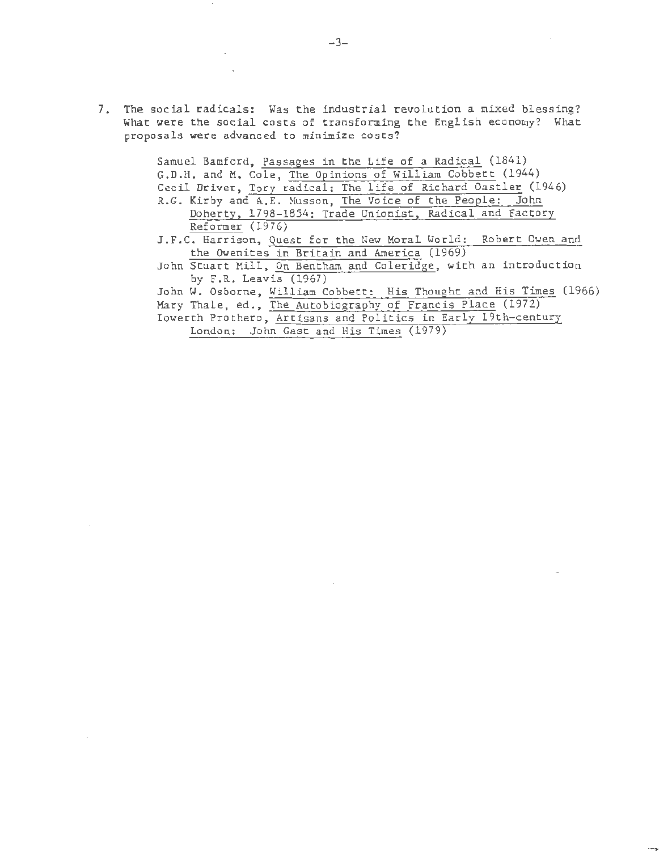7. The social radicals: Was the industrial revolution a mixed blessing? What were the social costs of transforming the English economy? What proposals were advanced to minimize costs?

> Samuel Bamford, Passages in the Life of a Radical (1841) G.D.H. and M. Cole, The Opinions of William Cobbett (1944) Cecil Driver, Tory radical: The life of Richard Oastler (1946) R.G. Kirby and A.E. Nusson, The Voice of the People: John Doherty, 1798-1854: Trade Unionist, Radical and Factory Reformer (1976) J.F.C. Harrison, Quest for the New Moral World: Robert Owen and the Owenites in Britain and America (1969) John Stuart Mill, On Bentham and Coleridge, with an introduction by F.R. Leavis (1967) John W. Osborne, William Cobbett: His Thought and His Times (1966) Mary Thale, ed., The Autobiography of Francis Place (1972) Iowerth Prothero, Artisans and Politics in Early 19th-century London: John Gast and His Times (1979)

-3-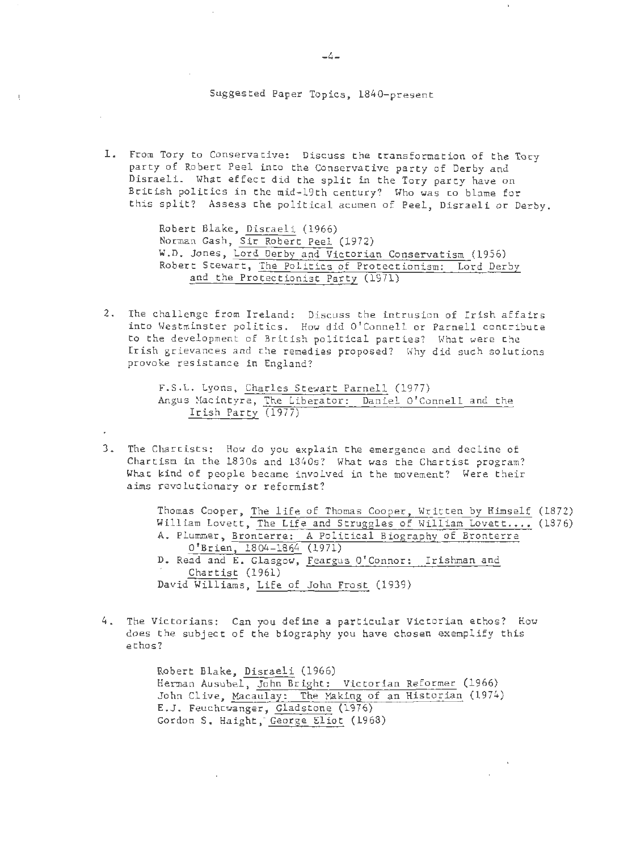Suggested Paper Topics, 1840-present

1. From Tory to Conservative: Discuss the transformation of the Tory party of Robert Peel into the Conservative party of Derby and Disraeli. What effect did the split in the Tory party have on British politics in the mid-19th century? Who was to blame for this split? Assess the political acumen of Peel, Disraeli or Derby.

> Robert Blake, Disraeli (1966) Norman Gash, Sir Robert Peel (1972) W.O. Jones, Lord Derby and Victorian Conservatism (1956) Robert Stewart, The Politics of Protectionism: Lord Derby and the Protectionist Party (1971)

2. The challenge from Ireland: Discuss the intrusion of Irish affairs into Westminster politics. How did O' Connell or Parnell contribute to the development of British political parties? What were the Irish grievances and the remedies proposed? Why did such solutions provoke resistance in England?

> F.S.L. Lyons, Charles Stewart Parnell (1977) Angus Macintyre, The Liberator: Daniel O'Connell and the Irish Party (1977)

3. The Chartists: How do you explain the emergence and decline of Chartism in the 1830s and 1340s? What was the Chartist program? What kind of people became involved in the movement? Were their aims revolutionary or reformist?

> Thomas Cooper, The life of Thomas Cooper, Written by Himself (1872) William Lovett, The Life and Struggles of William Lovett.... (1376) A. Plummer, Bronterre: A Political Biography of Bronterre O'Brien, 1804-1864 (1971) D. Read and E. Glasgow, Feargus O'Connor: Irishman and Chartist (1961) David Williams, Life of John Frost (1939)

4. The Victorians: Can you define a particular Victorian ethos? How does the subject of the biography you have chosen exemplify this ethos?

> Robert Blake, Disraeli (1966) Herman Ausubel, John Bright : Victorian Reformer (1966) John Clive, Macaulay: The Making of an Historian (1974) E.J. Feuchtwanger, Gladstone (1976) Gordon S. Haight, George Eliot (1968)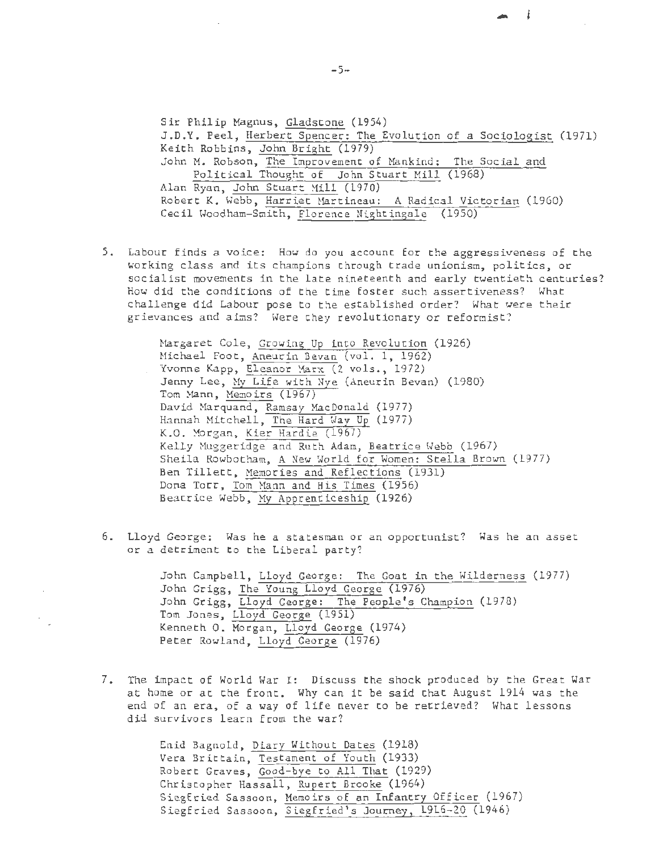Sir Philip Magnus, Gladstone (1954) J.D.Y. Peel, Herbert Spencer: The Evolution of a Sociologist (1971) Keith Robbins, John Bright (1979) John M. Robson, The Improvement of Mankind: The Social and Political Thought of John Stuart Mill (1968) Alan Ryan, John Stuart Mill (1970) Robert K. Webb, Harriet Martineau: A Radical Victorian (1960) Cecil Woodham-Smith, Florence Nightingale (1950)

 $\frac{1}{2}$ 

5. Labour finds a voice: How do you account for the aggressiveness of the working class and its champions through trade unionism, politics, or socialist movements in the late nineteenth and early twentieth centuries? How did the conditions of the time foster such assertiveness? What challenge did Labour pose to the established order? What were their grievances and aims? Were they revolutionary or reformist?

> Margaret Cole, Growing Up into Revolution (1926) Michael Foot, Aneurin Bevan (vol. 1, 1962) Yvonne Kapp, Eleanor Marx (2 vols., 1972) Jenny Lee, My Life with Nye (Aneurin Bevan) (1980) Tom Mann, Memoirs (1967) David Marquand, Ramsay MacDonald (1977) Hannah Mitchell, The Hard Way Up (1977) K.O. Morgan, Kier Hardie (1967) Kelly Muggeridge and Ruth Adam, Beatrice Webb (1967) Sheila Rowbotham, A New World for Women: Stella Brown (1977) Ben Tillett, Memories and Reflections (1931) Dona Torr, Tom Mann and His Times (1956) Beatrice Webb, My Apprenticeship (1926)

6. Lloyd George: Was he a statesman or an opportunist? Was he an asset or a detriment to the Liberal party?

> John Campbell, Lloyd George: The Goat in the Wilderness (1977) John Grigg, The Young Lloyd George (1976) John Grigg, Lloyd George: The People's Champion (1978) Tom Jones, Lloyd George (1951) Kenneth 0. Morgan, Lloyd George (1974) Peter Rowland, Lloyd George (1976)

7. The impact of World War I: Discuss the shock produced by the Great War at home or at the front. Why can it be said that August 1914 was the end of an era, of a way of life never to be retrieved? What lessons did survivors learn from the war?

> Enid Bagnold, Diary Without Dates (1918) Vera Brittain, Testament of Youth (1933) Robert Graves, Good-bye to All That (1929) Christopher Hassall, Rupert Brooke (1964) Siegfried Sassoon, Memoirs of an Infantry Officer (1967) Siegfried Sassoon, Siegfried's Journey, 1916-20 (1946)

 $-5-$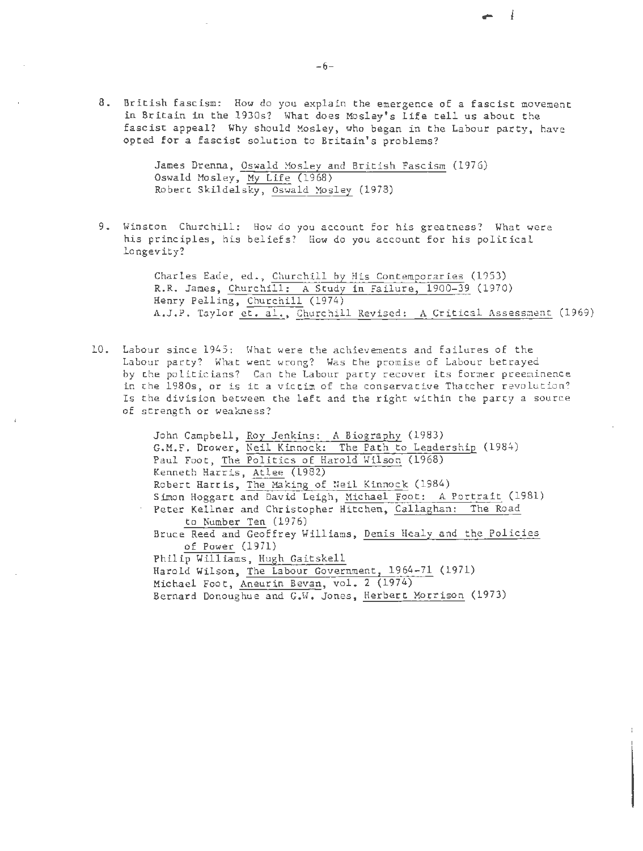8. British fascism: How do you explain the emergence of a fascist movement in Britain in the 1930s? Hhat does Mosley's life tell us about the fascist appeal? Why should Mosley, who began in the Labour party, have opted for a fascist solution to Britain's problems?

> James Drenna, Oswald Mosley and British Fascism (1976) Oswald Mosley, My Life (1968) Robert Skildelsky, Oswald Mosley (1978)

9. Winston Churchill: How do you account for his greatness? What were his principles, his beliefs? How do you account for his political longevity?

> Charles Eade, ed., Churchill by His Contemporaries (1953) R.R. James, Churchill: A Study in Failure, 1900-39 (1970) Henry Pelling, Churchill (1974) A.J.P. Taylor et. al., Churchill Revised: A Critical Assessment (1969)

- 4

10. Labour since 1945: What were the achievements and failures of the Labour party? What went wrong? Was the promise of Labour betrayed by the politicians? Can the Labour party recover its former preeminence in the 1980s, or is it a victim of the conservative Thatcher revolution? Is the division between the left and the right within the party a source of strength or weakness?

> John Campbell, Roy Jenkins: A Biography (1983) G.M.F. Drower, Neil Kinnock: The Path to Leadership (1984) Paul Foot, The Politics of Harold Wilson (1968) Kenneth Harris, Atlee (1982) Robert Harris, The Making of Neil Kinnock (1984) Simon Haggart and David Leigh, Michael Foot: A Portrait (1981) Peter Kellner and Christopher Hitchen, Callaghan: The Road to Number Ten (1976) Bruce Reed and Geoffrey Williams, Denis Healy and the Policies of Power (1971) Philip Williams, Hugh Gaitskell Harold Wilson, The Labour Government, 1964-71 (1971) Michael Foot, Aneurin Bevan, val. 2 (1974) Bernard Donoughue and  $G.W.$  Jones, Herbert Morrison (1973)

 $-6-$ 

(

(